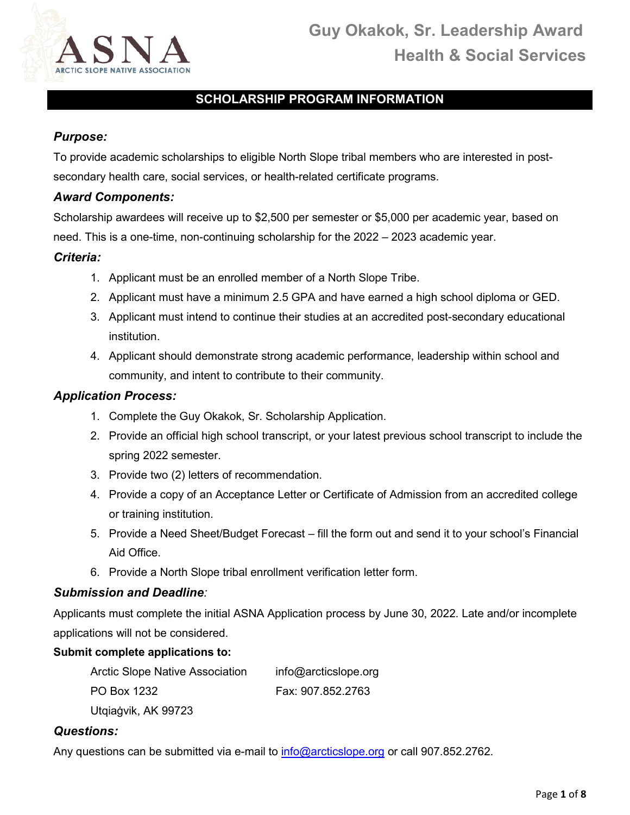

## **SCHOLARSHIP PROGRAM INFORMATION**

#### *Purpose:*

To provide academic scholarships to eligible North Slope tribal members who are interested in postsecondary health care, social services, or health-related certificate programs.

#### *Award Components:*

Scholarship awardees will receive up to \$2,500 per semester or \$5,000 per academic year, based on need. This is a one-time, non-continuing scholarship for the 2022 – 2023 academic year.

#### *Criteria:*

- 1. Applicant must be an enrolled member of a North Slope Tribe.
- 2. Applicant must have a minimum 2.5 GPA and have earned a high school diploma or GED.
- 3. Applicant must intend to continue their studies at an accredited post-secondary educational institution.
- 4. Applicant should demonstrate strong academic performance, leadership within school and community, and intent to contribute to their community.

#### *Application Process:*

- 1. Complete the Guy Okakok, Sr. Scholarship Application.
- 2. Provide an official high school transcript, or your latest previous school transcript to include the spring 2022 semester.
- 3. Provide two (2) letters of recommendation.
- 4. Provide a copy of an Acceptance Letter or Certificate of Admission from an accredited college or training institution.
- 5. Provide a Need Sheet/Budget Forecast fill the form out and send it to your school's Financial Aid Office.
- 6. Provide a North Slope tribal enrollment verification letter form.

#### *Submission and Deadline:*

Applicants must complete the initial ASNA Application process by June 30, 2022. Late and/or incomplete applications will not be considered.

#### **Submit complete applications to:**

| <b>Arctic Slope Native Association</b> | info@arcticslope.org |
|----------------------------------------|----------------------|
| PO Box 1232                            | Fax: 907.852.2763    |
| Utgiagvik, AK 99723                    |                      |

#### *Questions:*

Any questions can be submitted via e-mail to [info@arcticslope.org](mailto:info@arcticslope.org) or call 907.852.2762.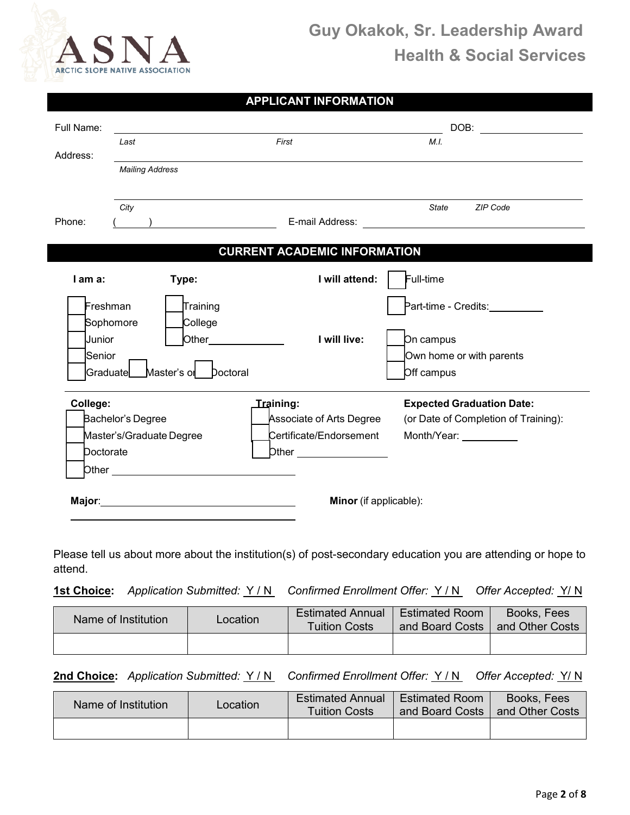

| <b>APPLICANT INFORMATION</b> |  |  |
|------------------------------|--|--|
|                              |  |  |

| Full Name:                    |                                                                                                                                                                                                                                            |                                                     | DOB: ________________                                                                                                                                                                                                                            |
|-------------------------------|--------------------------------------------------------------------------------------------------------------------------------------------------------------------------------------------------------------------------------------------|-----------------------------------------------------|--------------------------------------------------------------------------------------------------------------------------------------------------------------------------------------------------------------------------------------------------|
| Last<br>Address:              |                                                                                                                                                                                                                                            | First                                               | M.L                                                                                                                                                                                                                                              |
|                               | <b>Mailing Address</b>                                                                                                                                                                                                                     |                                                     |                                                                                                                                                                                                                                                  |
| City<br>Phone:                | $\overline{\phantom{a}}$ ) and the set of the set of the set of the set of the set of the set of the set of the set of the set of the set of the set of the set of the set of the set of the set of the set of the set of the set of the s |                                                     | State ZIP Code<br>E-mail Address: National Address: National Address: National Address: National Address: National Address: National Address: National Address: National Address: National Address: National Address: National Address: National |
|                               |                                                                                                                                                                                                                                            | <b>CURRENT ACADEMIC INFORMATION</b>                 |                                                                                                                                                                                                                                                  |
| I am a:                       | Type:                                                                                                                                                                                                                                      | I will attend:                                      | Full-time                                                                                                                                                                                                                                        |
| Freshman                      | Training                                                                                                                                                                                                                                   |                                                     | Part-time - Credits:__________                                                                                                                                                                                                                   |
| Sophomore<br>Junior           | College<br><b>Other Community</b>                                                                                                                                                                                                          | I will live:                                        | On campus                                                                                                                                                                                                                                        |
| Senior                        |                                                                                                                                                                                                                                            |                                                     | Own home or with parents                                                                                                                                                                                                                         |
| Graduate                      | Master's or Doctoral                                                                                                                                                                                                                       |                                                     | Off campus                                                                                                                                                                                                                                       |
| College:<br>Bachelor's Degree |                                                                                                                                                                                                                                            | <b>Training:</b><br><b>Associate of Arts Degree</b> | <b>Expected Graduation Date:</b><br>(or Date of Completion of Training):                                                                                                                                                                         |
|                               | Master's/Graduate Degree                                                                                                                                                                                                                   | Certificate/Endorsement                             | Month/Year: __________                                                                                                                                                                                                                           |
| Doctorate                     |                                                                                                                                                                                                                                            |                                                     |                                                                                                                                                                                                                                                  |
|                               |                                                                                                                                                                                                                                            |                                                     |                                                                                                                                                                                                                                                  |
|                               | Major: National Communication of the Major:                                                                                                                                                                                                | <b>Minor</b> (if applicable):                       |                                                                                                                                                                                                                                                  |

Please tell us about more about the institution(s) of post-secondary education you are attending or hope to attend.

**1st Choice:** *Application Submitted:* Y / N *Confirmed Enrollment Offer:* Y / N *Offer Accepted:* Y/ N

| Name of Institution | Location | <b>Estimated Annual</b><br><b>Tuition Costs</b> | <b>Estimated Room</b><br>and Board Costs | Books, Fees<br>and Other Costs |
|---------------------|----------|-------------------------------------------------|------------------------------------------|--------------------------------|
|                     |          |                                                 |                                          |                                |

**2nd Choice:** *Application Submitted:* Y / N *Confirmed Enrollment Offer:* Y / N *Offer Accepted:* Y/ N

| Name of Institution | ∟ocation | <b>Estimated Annual</b><br><b>Tuition Costs</b> | <b>Estimated Room</b><br>and Board Costs | Books, Fees<br>and Other Costs |
|---------------------|----------|-------------------------------------------------|------------------------------------------|--------------------------------|
|                     |          |                                                 |                                          |                                |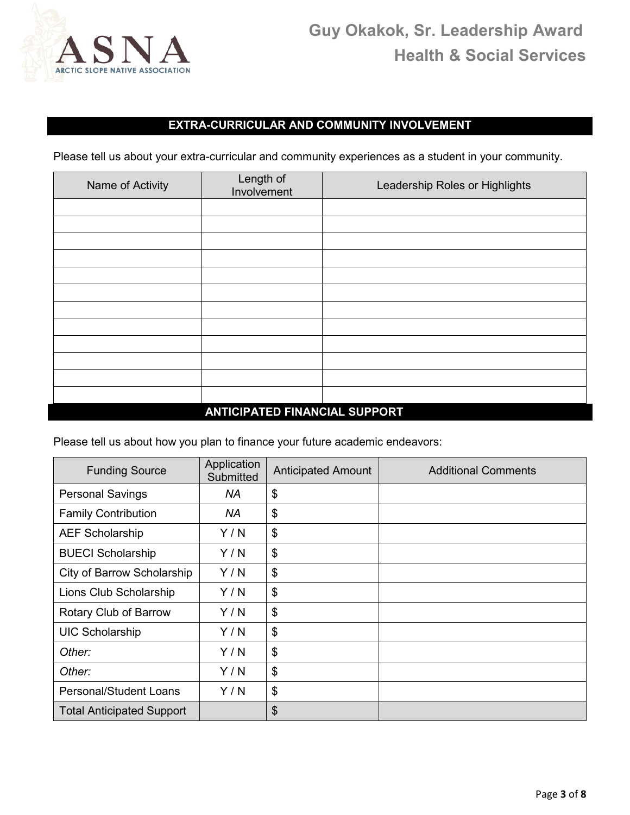

### **EXTRA-CURRICULAR AND COMMUNITY INVOLVEMENT**

Please tell us about your extra-curricular and community experiences as a student in your community.

| Name of Activity | Length of<br>Involvement                                                                                                                                                                                                                                                                                                                                                                                                                                   | Leadership Roles or Highlights |
|------------------|------------------------------------------------------------------------------------------------------------------------------------------------------------------------------------------------------------------------------------------------------------------------------------------------------------------------------------------------------------------------------------------------------------------------------------------------------------|--------------------------------|
|                  |                                                                                                                                                                                                                                                                                                                                                                                                                                                            |                                |
|                  |                                                                                                                                                                                                                                                                                                                                                                                                                                                            |                                |
|                  |                                                                                                                                                                                                                                                                                                                                                                                                                                                            |                                |
|                  |                                                                                                                                                                                                                                                                                                                                                                                                                                                            |                                |
|                  |                                                                                                                                                                                                                                                                                                                                                                                                                                                            |                                |
|                  |                                                                                                                                                                                                                                                                                                                                                                                                                                                            |                                |
|                  |                                                                                                                                                                                                                                                                                                                                                                                                                                                            |                                |
|                  |                                                                                                                                                                                                                                                                                                                                                                                                                                                            |                                |
|                  |                                                                                                                                                                                                                                                                                                                                                                                                                                                            |                                |
|                  |                                                                                                                                                                                                                                                                                                                                                                                                                                                            |                                |
|                  |                                                                                                                                                                                                                                                                                                                                                                                                                                                            |                                |
|                  | $\begin{array}{c} \n\text{A} \cup \text{B} \cup \text{A} \cup \text{B} \cup \text{C} \cup \text{C} \cup \text{C} \cup \text{A} \cup \text{A} \cup \text{A} \cup \text{B} \cup \text{C} \cup \text{A} \cup \text{A} \cup \text{C} \cup \text{A} \cup \text{A} \cup \text{A} \cup \text{A} \cup \text{A} \cup \text{A} \cup \text{A} \cup \text{A} \cup \text{A} \cup \text{A} \cup \text{A} \cup \text{A} \cup \text{A} \cup \text{A} \cup \text{A} \cup \$ |                                |

#### **ANTICIPATED FINANCIAL SUPPORT**

Please tell us about how you plan to finance your future academic endeavors:

| <b>Funding Source</b>            | Application<br>Submitted | <b>Anticipated Amount</b> | <b>Additional Comments</b> |
|----------------------------------|--------------------------|---------------------------|----------------------------|
| <b>Personal Savings</b>          | <b>NA</b>                | \$                        |                            |
| <b>Family Contribution</b>       | <b>NA</b>                | \$                        |                            |
| <b>AEF Scholarship</b>           | Y/N                      | \$                        |                            |
| <b>BUECI Scholarship</b>         | Y/N                      | \$                        |                            |
| City of Barrow Scholarship       | Y/N                      | \$                        |                            |
| Lions Club Scholarship           | Y/N                      | \$                        |                            |
| Rotary Club of Barrow            | Y/N                      | \$                        |                            |
| <b>UIC Scholarship</b>           | Y/N                      | \$                        |                            |
| Other:                           | Y/N                      | \$                        |                            |
| Other:                           | Y/N                      | \$                        |                            |
| Personal/Student Loans           | Y/N                      | \$                        |                            |
| <b>Total Anticipated Support</b> |                          | \$                        |                            |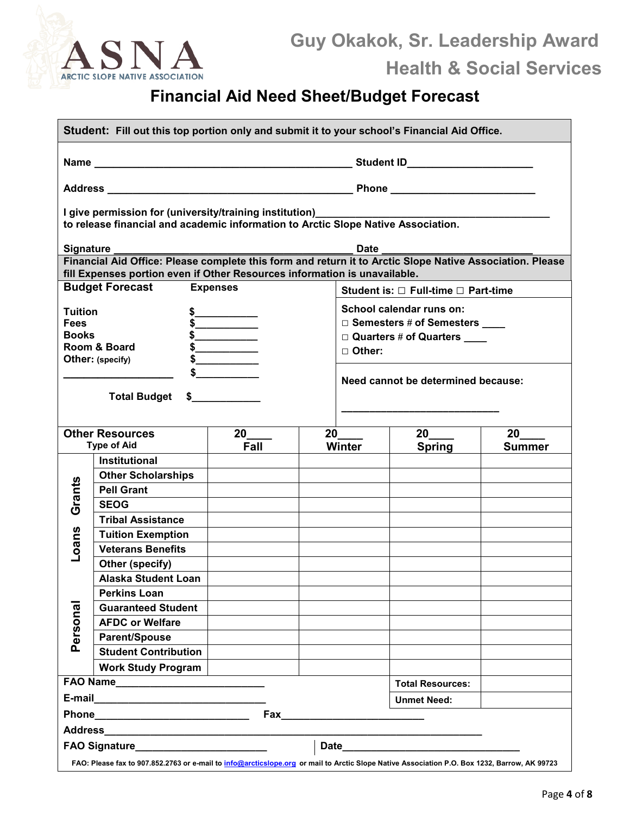

# **Financial Aid Need Sheet/Budget Forecast**

| Student: Fill out this top portion only and submit it to your school's Financial Aid Office.                                                 |                                                                                                                                              |                    |  |               |                                     |               |
|----------------------------------------------------------------------------------------------------------------------------------------------|----------------------------------------------------------------------------------------------------------------------------------------------|--------------------|--|---------------|-------------------------------------|---------------|
|                                                                                                                                              |                                                                                                                                              |                    |  |               |                                     |               |
|                                                                                                                                              |                                                                                                                                              |                    |  |               |                                     |               |
|                                                                                                                                              | I give permission for (university/training institution)<br>to release financial and academic information to Arctic Slope Native Association. |                    |  |               |                                     |               |
| <b>Signature</b>                                                                                                                             |                                                                                                                                              |                    |  | <b>Date</b>   |                                     |               |
|                                                                                                                                              | Financial Aid Office: Please complete this form and return it to Arctic Slope Native Association. Please                                     |                    |  |               |                                     |               |
|                                                                                                                                              | fill Expenses portion even if Other Resources information is unavailable.<br><b>Budget Forecast Expenses</b>                                 |                    |  |               |                                     |               |
|                                                                                                                                              |                                                                                                                                              |                    |  |               | Student is: □ Full-time □ Part-time |               |
| <b>Tuition</b>                                                                                                                               |                                                                                                                                              |                    |  |               | School calendar runs on:            |               |
| <b>Fees</b>                                                                                                                                  |                                                                                                                                              |                    |  |               | □ Semesters # of Semesters ____     |               |
| <b>Books</b>                                                                                                                                 | Room & Board                                                                                                                                 |                    |  |               | $\square$ Quarters # of Quarters    |               |
|                                                                                                                                              | Other: (specify)                                                                                                                             |                    |  | $\Box$ Other: |                                     |               |
|                                                                                                                                              |                                                                                                                                              |                    |  |               |                                     |               |
|                                                                                                                                              |                                                                                                                                              |                    |  |               | Need cannot be determined because:  |               |
|                                                                                                                                              | Total Budget \$                                                                                                                              |                    |  |               |                                     |               |
|                                                                                                                                              |                                                                                                                                              |                    |  |               |                                     |               |
|                                                                                                                                              | <b>Other Resources</b>                                                                                                                       | $20$ <sub>——</sub> |  | 20            | 20                                  | 20            |
|                                                                                                                                              | <b>Type of Aid</b>                                                                                                                           | Fall               |  | <b>Winter</b> | <b>Spring</b>                       | <b>Summer</b> |
|                                                                                                                                              | <b>Institutional</b>                                                                                                                         |                    |  |               |                                     |               |
|                                                                                                                                              | <b>Other Scholarships</b>                                                                                                                    |                    |  |               |                                     |               |
| Grants                                                                                                                                       | <b>Pell Grant</b>                                                                                                                            |                    |  |               |                                     |               |
|                                                                                                                                              | <b>SEOG</b>                                                                                                                                  |                    |  |               |                                     |               |
|                                                                                                                                              | <b>Tribal Assistance</b>                                                                                                                     |                    |  |               |                                     |               |
|                                                                                                                                              | <b>Tuition Exemption</b>                                                                                                                     |                    |  |               |                                     |               |
| Loans                                                                                                                                        | <b>Veterans Benefits</b>                                                                                                                     |                    |  |               |                                     |               |
|                                                                                                                                              | Other (specify)                                                                                                                              |                    |  |               |                                     |               |
|                                                                                                                                              | <b>Alaska Student Loan</b>                                                                                                                   |                    |  |               |                                     |               |
|                                                                                                                                              | <b>Perkins Loan</b>                                                                                                                          |                    |  |               |                                     |               |
| Personal                                                                                                                                     | <b>Guaranteed Student</b>                                                                                                                    |                    |  |               |                                     |               |
|                                                                                                                                              | <b>AFDC or Welfare</b>                                                                                                                       |                    |  |               |                                     |               |
|                                                                                                                                              | <b>Parent/Spouse</b>                                                                                                                         |                    |  |               |                                     |               |
|                                                                                                                                              | <b>Student Contribution</b>                                                                                                                  |                    |  |               |                                     |               |
|                                                                                                                                              | <b>Work Study Program</b>                                                                                                                    |                    |  |               |                                     |               |
|                                                                                                                                              |                                                                                                                                              |                    |  |               | <b>Total Resources:</b>             |               |
|                                                                                                                                              |                                                                                                                                              |                    |  |               | <b>Unmet Need:</b>                  |               |
|                                                                                                                                              |                                                                                                                                              |                    |  |               |                                     |               |
|                                                                                                                                              |                                                                                                                                              |                    |  |               |                                     |               |
|                                                                                                                                              | FAO Signature___________________________                                                                                                     |                    |  |               |                                     |               |
| FAO: Please fax to 907.852.2763 or e-mail to info@arcticslope.org or mail to Arctic Slope Native Association P.O. Box 1232, Barrow, AK 99723 |                                                                                                                                              |                    |  |               |                                     |               |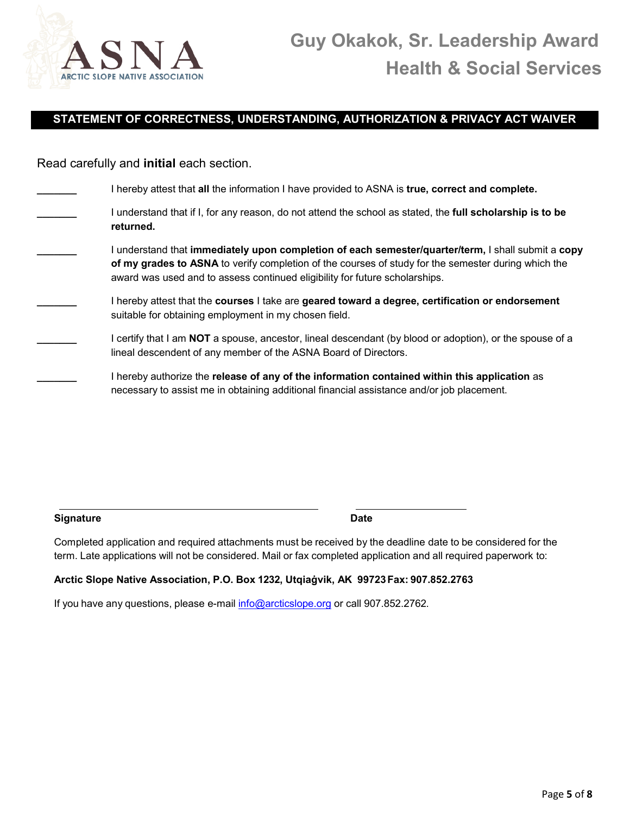

#### **STATEMENT OF CORRECTNESS, UNDERSTANDING, AUTHORIZATION & PRIVACY ACT WAIVER**

Read carefully and **initial** each section.

| I hereby attest that all the information I have provided to ASNA is true, correct and complete.                                                                                                                                                                                        |
|----------------------------------------------------------------------------------------------------------------------------------------------------------------------------------------------------------------------------------------------------------------------------------------|
| I understand that if I, for any reason, do not attend the school as stated, the full scholarship is to be<br>returned.                                                                                                                                                                 |
| understand that immediately upon completion of each semester/quarter/term, I shall submit a copy<br>of my grades to ASNA to verify completion of the courses of study for the semester during which the<br>award was used and to assess continued eligibility for future scholarships. |
| I hereby attest that the courses I take are geared toward a degree, certification or endorsement<br>suitable for obtaining employment in my chosen field.                                                                                                                              |
| I certify that I am NOT a spouse, ancestor, lineal descendant (by blood or adoption), or the spouse of a<br>lineal descendent of any member of the ASNA Board of Directors.                                                                                                            |
| I hereby authorize the release of any of the information contained within this application as<br>necessary to assist me in obtaining additional financial assistance and/or job placement.                                                                                             |
|                                                                                                                                                                                                                                                                                        |

**Signature Date**

Completed application and required attachments must be received by the deadline date to be considered for the term. Late applications will not be considered. Mail or fax completed application and all required paperwork to:

#### **Arctic Slope Native Association, P.O. Box 1232, Utqiaġvik, AK 99723Fax: 907.852.2763**

If you have any questions, please e-mail [info@arcticslope.org](mailto:info@arcticslope.org) or call 907.852.2762.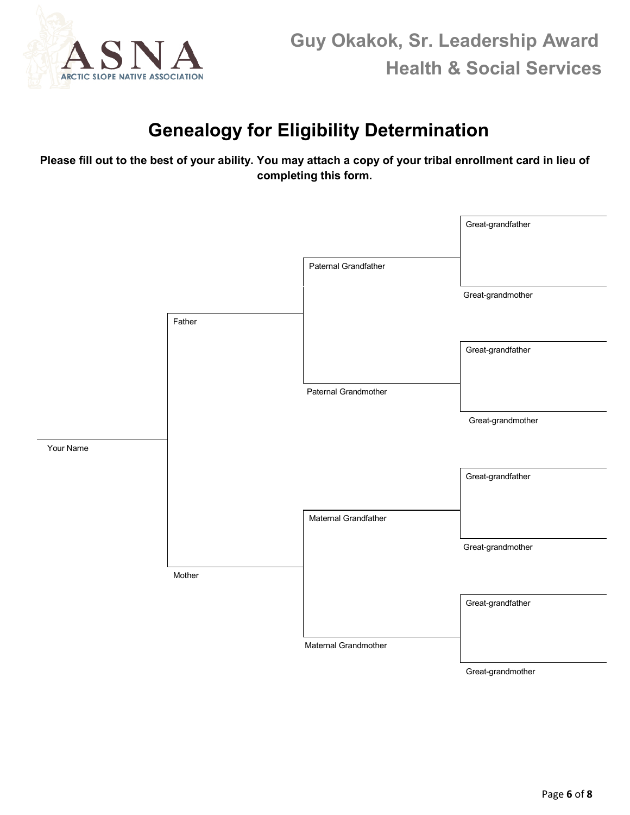

## **Genealogy for Eligibility Determination**

**Please fill out to the best of your ability. You may attach a copy of your tribal enrollment card in lieu of completing this form.** 

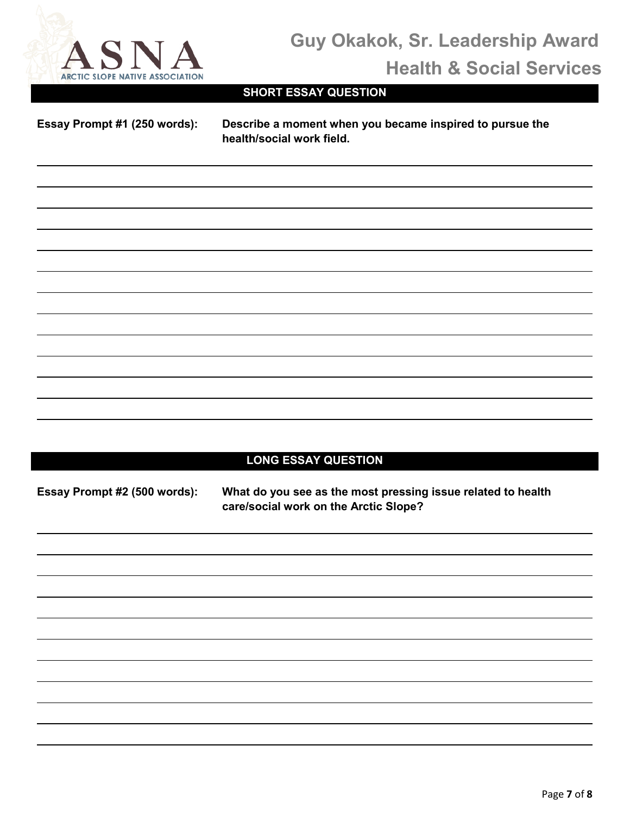

# **Guy Okakok, Sr. Leadership Award Health & Social Services**

## **SHORT ESSAY QUESTION**

 $\overline{a}$ 

 $\overline{\phantom{a}}$ 

**Essay Prompt #1 (250 words): Describe a moment when you became inspired to pursue the health/social work field.** 

### **LONG ESSAY QUESTION**

**Essay Prompt #2 (500 words): What do you see as the most pressing issue related to health care/social work on the Arctic Slope?**